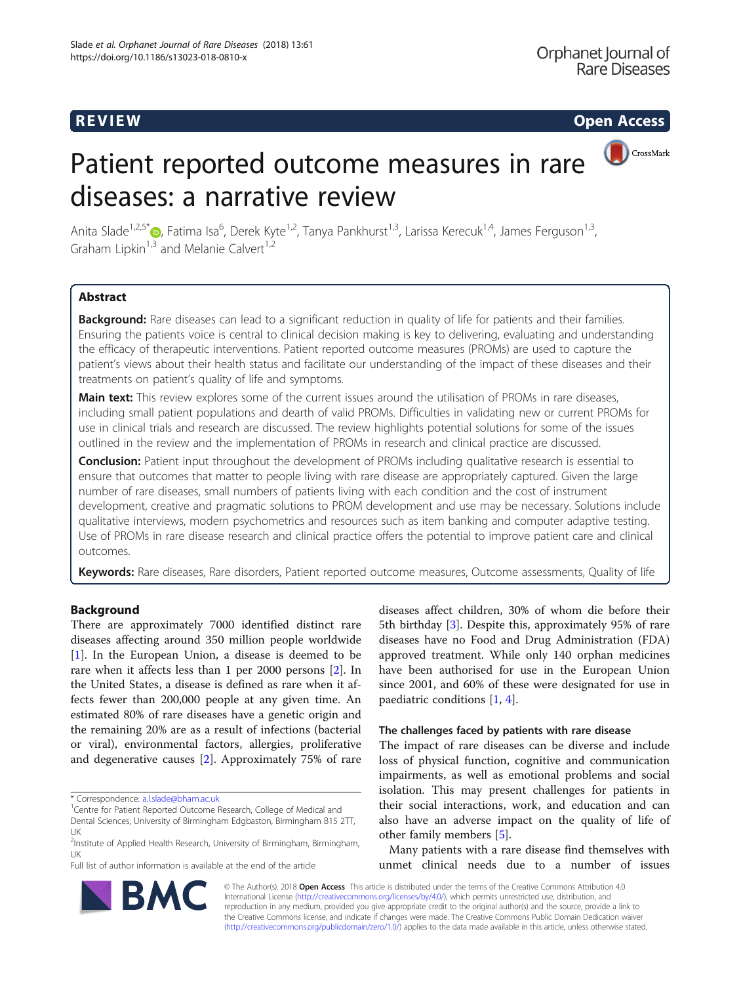R EVI EW Open Access

CrossMark

# Patient reported outcome measures in rare diseases: a narrative review

Anita Slade<sup>1[,](http://orcid.org/0000-0003-2827-7741)2,5\*</sup>®, Fatima Isa<sup>6</sup>, Derek Kyte<sup>1,2</sup>, Tanya Pankhurst<sup>1,3</sup>, Larissa Kerecuk<sup>1,4</sup>, James Ferguson<sup>1,3</sup>, Graham Lipkin<sup>1,3</sup> and Melanie Calvert<sup>1,2</sup>

# Abstract

Background: Rare diseases can lead to a significant reduction in quality of life for patients and their families. Ensuring the patients voice is central to clinical decision making is key to delivering, evaluating and understanding the efficacy of therapeutic interventions. Patient reported outcome measures (PROMs) are used to capture the patient's views about their health status and facilitate our understanding of the impact of these diseases and their treatments on patient's quality of life and symptoms.

Main text: This review explores some of the current issues around the utilisation of PROMs in rare diseases, including small patient populations and dearth of valid PROMs. Difficulties in validating new or current PROMs for use in clinical trials and research are discussed. The review highlights potential solutions for some of the issues outlined in the review and the implementation of PROMs in research and clinical practice are discussed.

**Conclusion:** Patient input throughout the development of PROMs including qualitative research is essential to ensure that outcomes that matter to people living with rare disease are appropriately captured. Given the large number of rare diseases, small numbers of patients living with each condition and the cost of instrument development, creative and pragmatic solutions to PROM development and use may be necessary. Solutions include qualitative interviews, modern psychometrics and resources such as item banking and computer adaptive testing. Use of PROMs in rare disease research and clinical practice offers the potential to improve patient care and clinical outcomes.

Keywords: Rare diseases, Rare disorders, Patient reported outcome measures, Outcome assessments, Quality of life

# Background

There are approximately 7000 identified distinct rare diseases affecting around 350 million people worldwide [[1\]](#page-6-0). In the European Union, a disease is deemed to be rare when it affects less than 1 per 2000 persons [\[2\]](#page-6-0). In the United States, a disease is defined as rare when it affects fewer than 200,000 people at any given time. An estimated 80% of rare diseases have a genetic origin and the remaining 20% are as a result of infections (bacterial or viral), environmental factors, allergies, proliferative and degenerative causes [[2\]](#page-6-0). Approximately 75% of rare

Full list of author information is available at the end of the article

diseases affect children, 30% of whom die before their 5th birthday [[3\]](#page-6-0). Despite this, approximately 95% of rare diseases have no Food and Drug Administration (FDA) approved treatment. While only 140 orphan medicines have been authorised for use in the European Union since 2001, and 60% of these were designated for use in paediatric conditions [[1](#page-6-0), [4](#page-6-0)].

# The challenges faced by patients with rare disease

The impact of rare diseases can be diverse and include loss of physical function, cognitive and communication impairments, as well as emotional problems and social isolation. This may present challenges for patients in their social interactions, work, and education and can also have an adverse impact on the quality of life of other family members [\[5\]](#page-6-0).

Many patients with a rare disease find themselves with unmet clinical needs due to a number of issues



© The Author(s). 2018 Open Access This article is distributed under the terms of the Creative Commons Attribution 4.0 International License [\(http://creativecommons.org/licenses/by/4.0/](http://creativecommons.org/licenses/by/4.0/)), which permits unrestricted use, distribution, and reproduction in any medium, provided you give appropriate credit to the original author(s) and the source, provide a link to the Creative Commons license, and indicate if changes were made. The Creative Commons Public Domain Dedication waiver [\(http://creativecommons.org/publicdomain/zero/1.0/](http://creativecommons.org/publicdomain/zero/1.0/)) applies to the data made available in this article, unless otherwise stated.

<sup>\*</sup> Correspondence: [a.l.slade@bham.ac.uk](mailto:a.l.slade@bham.ac.uk) <sup>1</sup>

<sup>&</sup>lt;sup>1</sup> Centre for Patient Reported Outcome Research, College of Medical and

Dental Sciences, University of Birmingham Edgbaston, Birmingham B15 2TT, UK

<sup>&</sup>lt;sup>2</sup>Institute of Applied Health Research, University of Birmingham, Birmingham, UK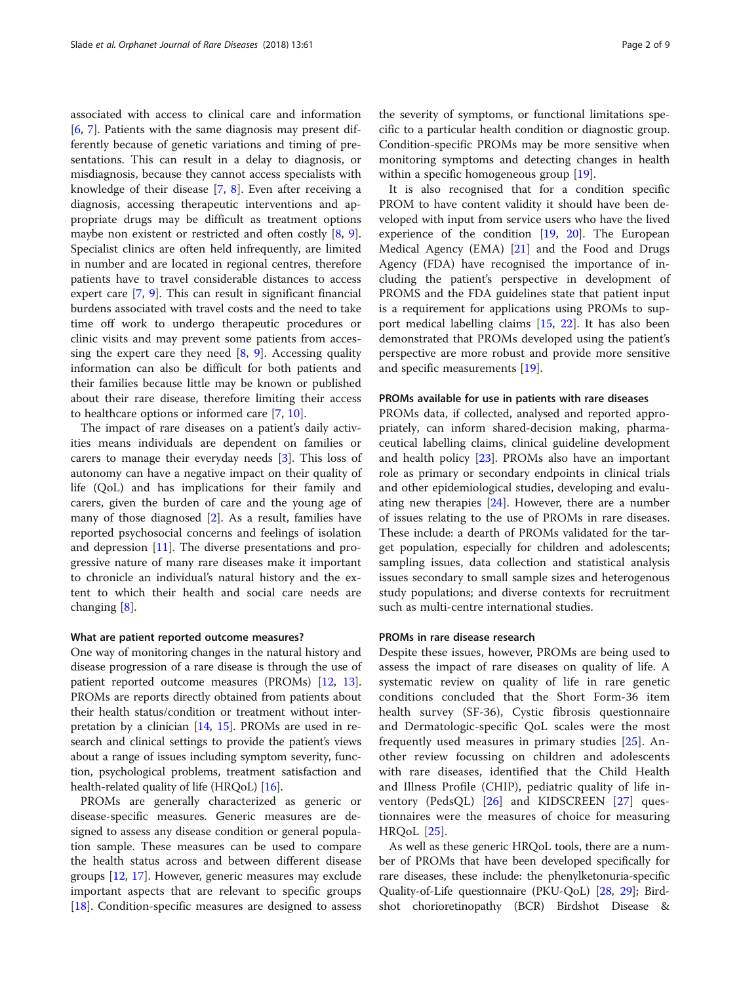associated with access to clinical care and information [[6,](#page-6-0) [7](#page-6-0)]. Patients with the same diagnosis may present differently because of genetic variations and timing of presentations. This can result in a delay to diagnosis, or misdiagnosis, because they cannot access specialists with knowledge of their disease [[7,](#page-6-0) [8](#page-6-0)]. Even after receiving a diagnosis, accessing therapeutic interventions and appropriate drugs may be difficult as treatment options maybe non existent or restricted and often costly [[8,](#page-6-0) [9](#page-6-0)]. Specialist clinics are often held infrequently, are limited in number and are located in regional centres, therefore patients have to travel considerable distances to access expert care [\[7](#page-6-0), [9\]](#page-6-0). This can result in significant financial burdens associated with travel costs and the need to take time off work to undergo therapeutic procedures or clinic visits and may prevent some patients from accessing the expert care they need  $[8, 9]$  $[8, 9]$  $[8, 9]$  $[8, 9]$ . Accessing quality information can also be difficult for both patients and their families because little may be known or published about their rare disease, therefore limiting their access to healthcare options or informed care [\[7](#page-6-0), [10](#page-6-0)].

The impact of rare diseases on a patient's daily activities means individuals are dependent on families or carers to manage their everyday needs [[3\]](#page-6-0). This loss of autonomy can have a negative impact on their quality of life (QoL) and has implications for their family and carers, given the burden of care and the young age of many of those diagnosed [\[2](#page-6-0)]. As a result, families have reported psychosocial concerns and feelings of isolation and depression [[11](#page-6-0)]. The diverse presentations and progressive nature of many rare diseases make it important to chronicle an individual's natural history and the extent to which their health and social care needs are changing [[8\]](#page-6-0).

# What are patient reported outcome measures?

One way of monitoring changes in the natural history and disease progression of a rare disease is through the use of patient reported outcome measures (PROMs) [[12](#page-6-0), [13](#page-6-0)]. PROMs are reports directly obtained from patients about their health status/condition or treatment without interpretation by a clinician [\[14,](#page-6-0) [15](#page-6-0)]. PROMs are used in research and clinical settings to provide the patient's views about a range of issues including symptom severity, function, psychological problems, treatment satisfaction and health-related quality of life (HRQoL) [[16](#page-6-0)].

PROMs are generally characterized as generic or disease-specific measures. Generic measures are designed to assess any disease condition or general population sample. These measures can be used to compare the health status across and between different disease groups [[12,](#page-6-0) [17\]](#page-6-0). However, generic measures may exclude important aspects that are relevant to specific groups [[18\]](#page-6-0). Condition-specific measures are designed to assess

the severity of symptoms, or functional limitations specific to a particular health condition or diagnostic group. Condition-specific PROMs may be more sensitive when monitoring symptoms and detecting changes in health within a specific homogeneous group [\[19\]](#page-6-0).

It is also recognised that for a condition specific PROM to have content validity it should have been developed with input from service users who have the lived experience of the condition [\[19,](#page-6-0) [20](#page-6-0)]. The European Medical Agency (EMA) [\[21](#page-6-0)] and the Food and Drugs Agency (FDA) have recognised the importance of including the patient's perspective in development of PROMS and the FDA guidelines state that patient input is a requirement for applications using PROMs to support medical labelling claims [\[15](#page-6-0), [22\]](#page-6-0). It has also been demonstrated that PROMs developed using the patient's perspective are more robust and provide more sensitive and specific measurements [\[19](#page-6-0)].

# PROMs available for use in patients with rare diseases

PROMs data, if collected, analysed and reported appropriately, can inform shared-decision making, pharmaceutical labelling claims, clinical guideline development and health policy  $[23]$ . PROMs also have an important role as primary or secondary endpoints in clinical trials and other epidemiological studies, developing and evaluating new therapies [\[24](#page-6-0)]. However, there are a number of issues relating to the use of PROMs in rare diseases. These include: a dearth of PROMs validated for the target population, especially for children and adolescents; sampling issues, data collection and statistical analysis issues secondary to small sample sizes and heterogenous study populations; and diverse contexts for recruitment such as multi-centre international studies.

# PROMs in rare disease research

Despite these issues, however, PROMs are being used to assess the impact of rare diseases on quality of life. A systematic review on quality of life in rare genetic conditions concluded that the Short Form-36 item health survey (SF-36), Cystic fibrosis questionnaire and Dermatologic-specific QoL scales were the most frequently used measures in primary studies [[25\]](#page-6-0). Another review focussing on children and adolescents with rare diseases, identified that the Child Health and Illness Profile (CHIP), pediatric quality of life inventory (PedsQL) [\[26](#page-6-0)] and KIDSCREEN [\[27](#page-6-0)] questionnaires were the measures of choice for measuring HRQoL [\[25](#page-6-0)].

As well as these generic HRQoL tools, there are a number of PROMs that have been developed specifically for rare diseases, these include: the phenylketonuria-specific Quality-of-Life questionnaire (PKU-QoL) [\[28,](#page-6-0) [29](#page-6-0)]; Birdshot chorioretinopathy (BCR) Birdshot Disease &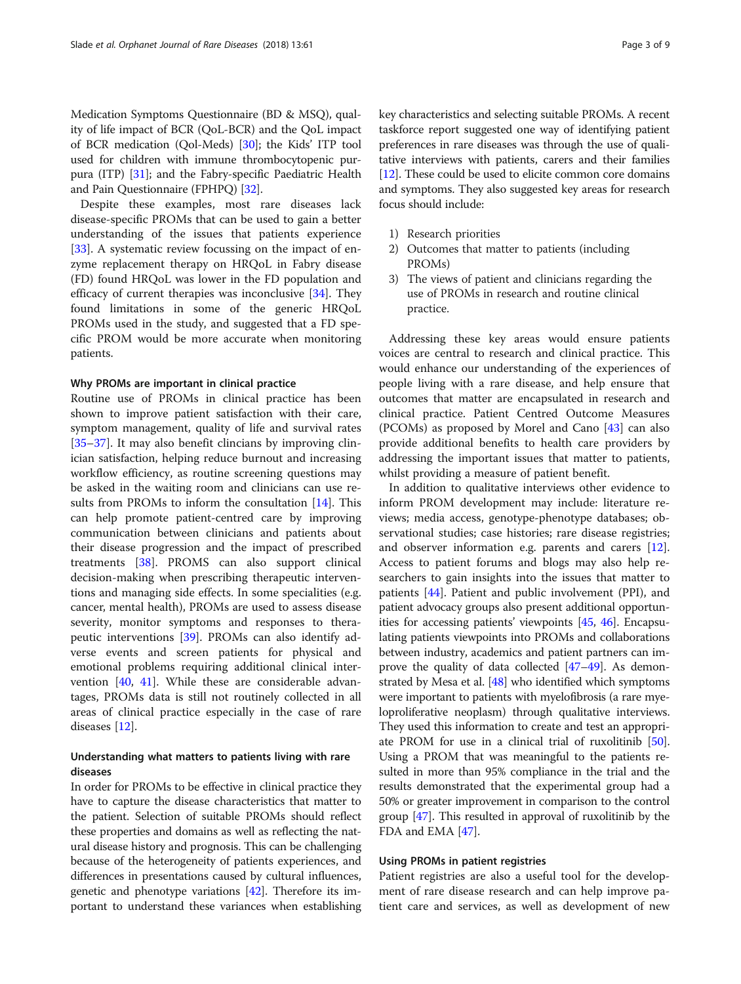Medication Symptoms Questionnaire (BD & MSQ), quality of life impact of BCR (QoL-BCR) and the QoL impact of BCR medication (Qol-Meds) [\[30\]](#page-6-0); the Kids' ITP tool used for children with immune thrombocytopenic purpura (ITP) [\[31\]](#page-7-0); and the Fabry-specific Paediatric Health and Pain Questionnaire (FPHPQ) [\[32](#page-7-0)].

Despite these examples, most rare diseases lack disease-specific PROMs that can be used to gain a better understanding of the issues that patients experience [[33\]](#page-7-0). A systematic review focussing on the impact of enzyme replacement therapy on HRQoL in Fabry disease (FD) found HRQoL was lower in the FD population and efficacy of current therapies was inconclusive [\[34](#page-7-0)]. They found limitations in some of the generic HRQoL PROMs used in the study, and suggested that a FD specific PROM would be more accurate when monitoring patients.

# Why PROMs are important in clinical practice

Routine use of PROMs in clinical practice has been shown to improve patient satisfaction with their care, symptom management, quality of life and survival rates [[35](#page-7-0)–[37](#page-7-0)]. It may also benefit clincians by improving clinician satisfaction, helping reduce burnout and increasing workflow efficiency, as routine screening questions may be asked in the waiting room and clinicians can use results from PROMs to inform the consultation [[14\]](#page-6-0). This can help promote patient-centred care by improving communication between clinicians and patients about their disease progression and the impact of prescribed treatments [[38\]](#page-7-0). PROMS can also support clinical decision-making when prescribing therapeutic interventions and managing side effects. In some specialities (e.g. cancer, mental health), PROMs are used to assess disease severity, monitor symptoms and responses to therapeutic interventions [[39](#page-7-0)]. PROMs can also identify adverse events and screen patients for physical and emotional problems requiring additional clinical intervention [[40](#page-7-0), [41\]](#page-7-0). While these are considerable advantages, PROMs data is still not routinely collected in all areas of clinical practice especially in the case of rare diseases [\[12](#page-6-0)].

# Understanding what matters to patients living with rare diseases

In order for PROMs to be effective in clinical practice they have to capture the disease characteristics that matter to the patient. Selection of suitable PROMs should reflect these properties and domains as well as reflecting the natural disease history and prognosis. This can be challenging because of the heterogeneity of patients experiences, and differences in presentations caused by cultural influences, genetic and phenotype variations [\[42\]](#page-7-0). Therefore its important to understand these variances when establishing

key characteristics and selecting suitable PROMs. A recent taskforce report suggested one way of identifying patient preferences in rare diseases was through the use of qualitative interviews with patients, carers and their families [[12](#page-6-0)]. These could be used to elicite common core domains and symptoms. They also suggested key areas for research focus should include:

- 1) Research priorities
- 2) Outcomes that matter to patients (including PROMs)
- 3) The views of patient and clinicians regarding the use of PROMs in research and routine clinical practice.

Addressing these key areas would ensure patients voices are central to research and clinical practice. This would enhance our understanding of the experiences of people living with a rare disease, and help ensure that outcomes that matter are encapsulated in research and clinical practice. Patient Centred Outcome Measures (PCOMs) as proposed by Morel and Cano [[43](#page-7-0)] can also provide additional benefits to health care providers by addressing the important issues that matter to patients, whilst providing a measure of patient benefit.

In addition to qualitative interviews other evidence to inform PROM development may include: literature reviews; media access, genotype-phenotype databases; observational studies; case histories; rare disease registries; and observer information e.g. parents and carers [\[12](#page-6-0)]. Access to patient forums and blogs may also help researchers to gain insights into the issues that matter to patients [[44\]](#page-7-0). Patient and public involvement (PPI), and patient advocacy groups also present additional opportunities for accessing patients' viewpoints [\[45](#page-7-0), [46\]](#page-7-0). Encapsulating patients viewpoints into PROMs and collaborations between industry, academics and patient partners can improve the quality of data collected [\[47](#page-7-0)–[49](#page-7-0)]. As demonstrated by Mesa et al. [\[48](#page-7-0)] who identified which symptoms were important to patients with myelofibrosis (a rare myeloproliferative neoplasm) through qualitative interviews. They used this information to create and test an appropriate PROM for use in a clinical trial of ruxolitinib [[50](#page-7-0)]. Using a PROM that was meaningful to the patients resulted in more than 95% compliance in the trial and the results demonstrated that the experimental group had a 50% or greater improvement in comparison to the control group [[47](#page-7-0)]. This resulted in approval of ruxolitinib by the FDA and EMA [\[47\]](#page-7-0).

# Using PROMs in patient registries

Patient registries are also a useful tool for the development of rare disease research and can help improve patient care and services, as well as development of new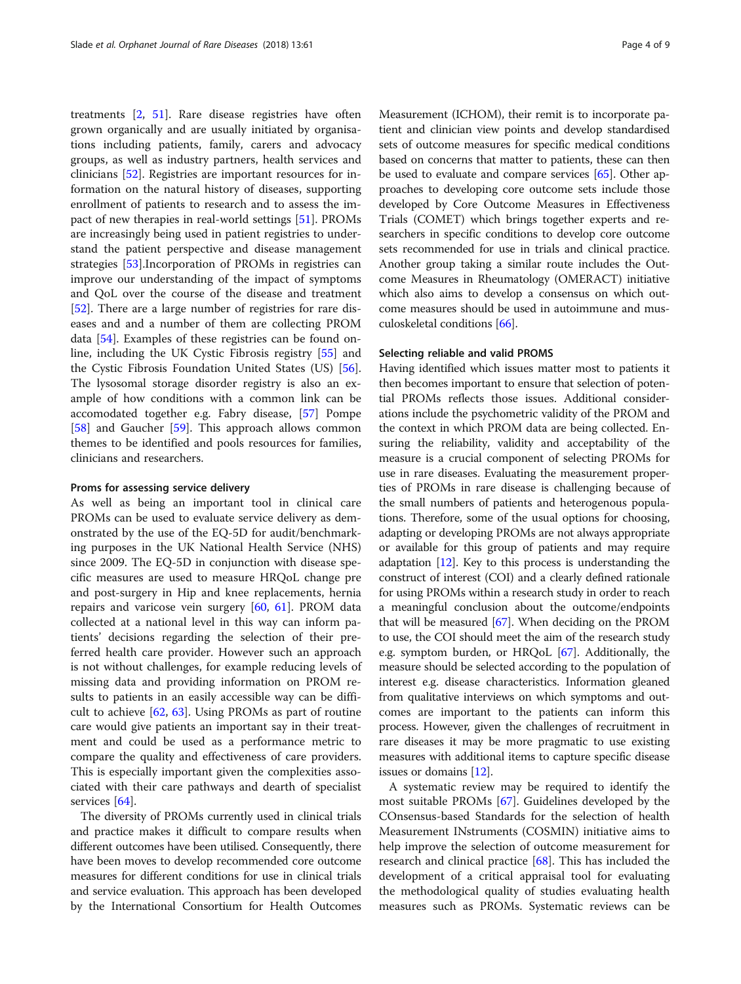treatments [[2,](#page-6-0) [51](#page-7-0)]. Rare disease registries have often grown organically and are usually initiated by organisations including patients, family, carers and advocacy groups, as well as industry partners, health services and clinicians [\[52](#page-7-0)]. Registries are important resources for information on the natural history of diseases, supporting enrollment of patients to research and to assess the impact of new therapies in real-world settings [\[51](#page-7-0)]. PROMs are increasingly being used in patient registries to understand the patient perspective and disease management strategies [[53](#page-7-0)].Incorporation of PROMs in registries can improve our understanding of the impact of symptoms and QoL over the course of the disease and treatment [[52\]](#page-7-0). There are a large number of registries for rare diseases and and a number of them are collecting PROM data [[54](#page-7-0)]. Examples of these registries can be found online, including the UK Cystic Fibrosis registry [\[55](#page-7-0)] and the Cystic Fibrosis Foundation United States (US) [\[56](#page-7-0)]. The lysosomal storage disorder registry is also an example of how conditions with a common link can be accomodated together e.g. Fabry disease, [\[57](#page-7-0)] Pompe [[58\]](#page-7-0) and Gaucher [[59](#page-7-0)]. This approach allows common themes to be identified and pools resources for families, clinicians and researchers.

## Proms for assessing service delivery

As well as being an important tool in clinical care PROMs can be used to evaluate service delivery as demonstrated by the use of the EQ-5D for audit/benchmarking purposes in the UK National Health Service (NHS) since 2009. The EQ-5D in conjunction with disease specific measures are used to measure HRQoL change pre and post-surgery in Hip and knee replacements, hernia repairs and varicose vein surgery [[60](#page-7-0), [61\]](#page-7-0). PROM data collected at a national level in this way can inform patients' decisions regarding the selection of their preferred health care provider. However such an approach is not without challenges, for example reducing levels of missing data and providing information on PROM results to patients in an easily accessible way can be difficult to achieve [\[62](#page-7-0), [63](#page-7-0)]. Using PROMs as part of routine care would give patients an important say in their treatment and could be used as a performance metric to compare the quality and effectiveness of care providers. This is especially important given the complexities associated with their care pathways and dearth of specialist services [[64](#page-7-0)].

The diversity of PROMs currently used in clinical trials and practice makes it difficult to compare results when different outcomes have been utilised. Consequently, there have been moves to develop recommended core outcome measures for different conditions for use in clinical trials and service evaluation. This approach has been developed by the International Consortium for Health Outcomes

Measurement (ICHOM), their remit is to incorporate patient and clinician view points and develop standardised sets of outcome measures for specific medical conditions based on concerns that matter to patients, these can then be used to evaluate and compare services [\[65\]](#page-7-0). Other approaches to developing core outcome sets include those developed by Core Outcome Measures in Effectiveness Trials (COMET) which brings together experts and researchers in specific conditions to develop core outcome sets recommended for use in trials and clinical practice. Another group taking a similar route includes the Outcome Measures in Rheumatology (OMERACT) initiative which also aims to develop a consensus on which outcome measures should be used in autoimmune and musculoskeletal conditions [\[66](#page-7-0)].

# Selecting reliable and valid PROMS

Having identified which issues matter most to patients it then becomes important to ensure that selection of potential PROMs reflects those issues. Additional considerations include the psychometric validity of the PROM and the context in which PROM data are being collected. Ensuring the reliability, validity and acceptability of the measure is a crucial component of selecting PROMs for use in rare diseases. Evaluating the measurement properties of PROMs in rare disease is challenging because of the small numbers of patients and heterogenous populations. Therefore, some of the usual options for choosing, adapting or developing PROMs are not always appropriate or available for this group of patients and may require adaptation [[12](#page-6-0)]. Key to this process is understanding the construct of interest (COI) and a clearly defined rationale for using PROMs within a research study in order to reach a meaningful conclusion about the outcome/endpoints that will be measured [\[67](#page-7-0)]. When deciding on the PROM to use, the COI should meet the aim of the research study e.g. symptom burden, or HRQoL [\[67\]](#page-7-0). Additionally, the measure should be selected according to the population of interest e.g. disease characteristics. Information gleaned from qualitative interviews on which symptoms and outcomes are important to the patients can inform this process. However, given the challenges of recruitment in rare diseases it may be more pragmatic to use existing measures with additional items to capture specific disease issues or domains [\[12](#page-6-0)].

A systematic review may be required to identify the most suitable PROMs [\[67](#page-7-0)]. Guidelines developed by the COnsensus-based Standards for the selection of health Measurement INstruments (COSMIN) initiative aims to help improve the selection of outcome measurement for research and clinical practice [[68\]](#page-7-0). This has included the development of a critical appraisal tool for evaluating the methodological quality of studies evaluating health measures such as PROMs. Systematic reviews can be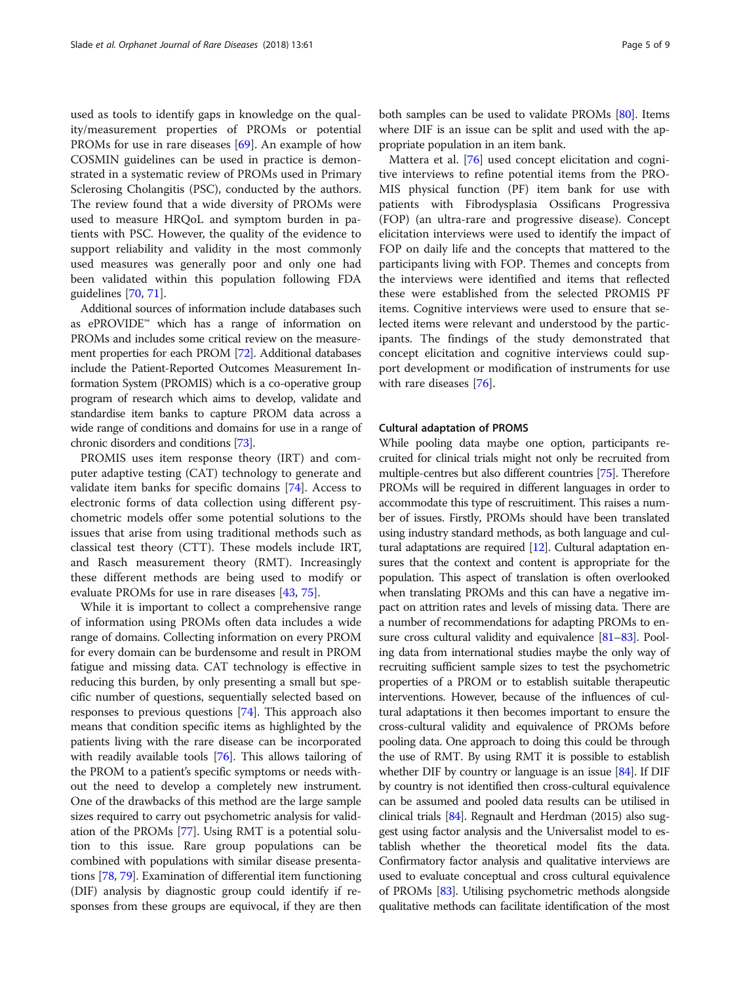used as tools to identify gaps in knowledge on the quality/measurement properties of PROMs or potential PROMs for use in rare diseases [[69](#page-7-0)]. An example of how COSMIN guidelines can be used in practice is demonstrated in a systematic review of PROMs used in Primary Sclerosing Cholangitis (PSC), conducted by the authors. The review found that a wide diversity of PROMs were used to measure HRQoL and symptom burden in patients with PSC. However, the quality of the evidence to support reliability and validity in the most commonly used measures was generally poor and only one had been validated within this population following FDA guidelines [[70](#page-7-0), [71](#page-7-0)].

Additional sources of information include databases such as ePROVIDE™ which has a range of information on PROMs and includes some critical review on the measurement properties for each PROM [\[72\]](#page-7-0). Additional databases include the Patient-Reported Outcomes Measurement Information System (PROMIS) which is a co-operative group program of research which aims to develop, validate and standardise item banks to capture PROM data across a wide range of conditions and domains for use in a range of chronic disorders and conditions [\[73](#page-7-0)].

PROMIS uses item response theory (IRT) and computer adaptive testing (CAT) technology to generate and validate item banks for specific domains [\[74\]](#page-7-0). Access to electronic forms of data collection using different psychometric models offer some potential solutions to the issues that arise from using traditional methods such as classical test theory (CTT). These models include IRT, and Rasch measurement theory (RMT). Increasingly these different methods are being used to modify or evaluate PROMs for use in rare diseases [[43](#page-7-0), [75](#page-7-0)].

While it is important to collect a comprehensive range of information using PROMs often data includes a wide range of domains. Collecting information on every PROM for every domain can be burdensome and result in PROM fatigue and missing data. CAT technology is effective in reducing this burden, by only presenting a small but specific number of questions, sequentially selected based on responses to previous questions [[74\]](#page-7-0). This approach also means that condition specific items as highlighted by the patients living with the rare disease can be incorporated with readily available tools [[76](#page-7-0)]. This allows tailoring of the PROM to a patient's specific symptoms or needs without the need to develop a completely new instrument. One of the drawbacks of this method are the large sample sizes required to carry out psychometric analysis for validation of the PROMs [\[77](#page-8-0)]. Using RMT is a potential solution to this issue. Rare group populations can be combined with populations with similar disease presentations [\[78,](#page-8-0) [79](#page-8-0)]. Examination of differential item functioning (DIF) analysis by diagnostic group could identify if responses from these groups are equivocal, if they are then

both samples can be used to validate PROMs [[80](#page-8-0)]. Items where DIF is an issue can be split and used with the appropriate population in an item bank.

Mattera et al. [[76\]](#page-7-0) used concept elicitation and cognitive interviews to refine potential items from the PRO-MIS physical function (PF) item bank for use with patients with Fibrodysplasia Ossificans Progressiva (FOP) (an ultra-rare and progressive disease). Concept elicitation interviews were used to identify the impact of FOP on daily life and the concepts that mattered to the participants living with FOP. Themes and concepts from the interviews were identified and items that reflected these were established from the selected PROMIS PF items. Cognitive interviews were used to ensure that selected items were relevant and understood by the participants. The findings of the study demonstrated that concept elicitation and cognitive interviews could support development or modification of instruments for use with rare diseases [\[76\]](#page-7-0).

# Cultural adaptation of PROMS

While pooling data maybe one option, participants recruited for clinical trials might not only be recruited from multiple-centres but also different countries [[75](#page-7-0)]. Therefore PROMs will be required in different languages in order to accommodate this type of rescruitiment. This raises a number of issues. Firstly, PROMs should have been translated using industry standard methods, as both language and cultural adaptations are required  $[12]$ . Cultural adaptation ensures that the context and content is appropriate for the population. This aspect of translation is often overlooked when translating PROMs and this can have a negative impact on attrition rates and levels of missing data. There are a number of recommendations for adapting PROMs to ensure cross cultural validity and equivalence [\[81](#page-8-0)–[83\]](#page-8-0). Pooling data from international studies maybe the only way of recruiting sufficient sample sizes to test the psychometric properties of a PROM or to establish suitable therapeutic interventions. However, because of the influences of cultural adaptations it then becomes important to ensure the cross-cultural validity and equivalence of PROMs before pooling data. One approach to doing this could be through the use of RMT. By using RMT it is possible to establish whether DIF by country or language is an issue [\[84\]](#page-8-0). If DIF by country is not identified then cross-cultural equivalence can be assumed and pooled data results can be utilised in clinical trials [[84](#page-8-0)]. Regnault and Herdman (2015) also suggest using factor analysis and the Universalist model to establish whether the theoretical model fits the data. Confirmatory factor analysis and qualitative interviews are used to evaluate conceptual and cross cultural equivalence of PROMs [\[83](#page-8-0)]. Utilising psychometric methods alongside qualitative methods can facilitate identification of the most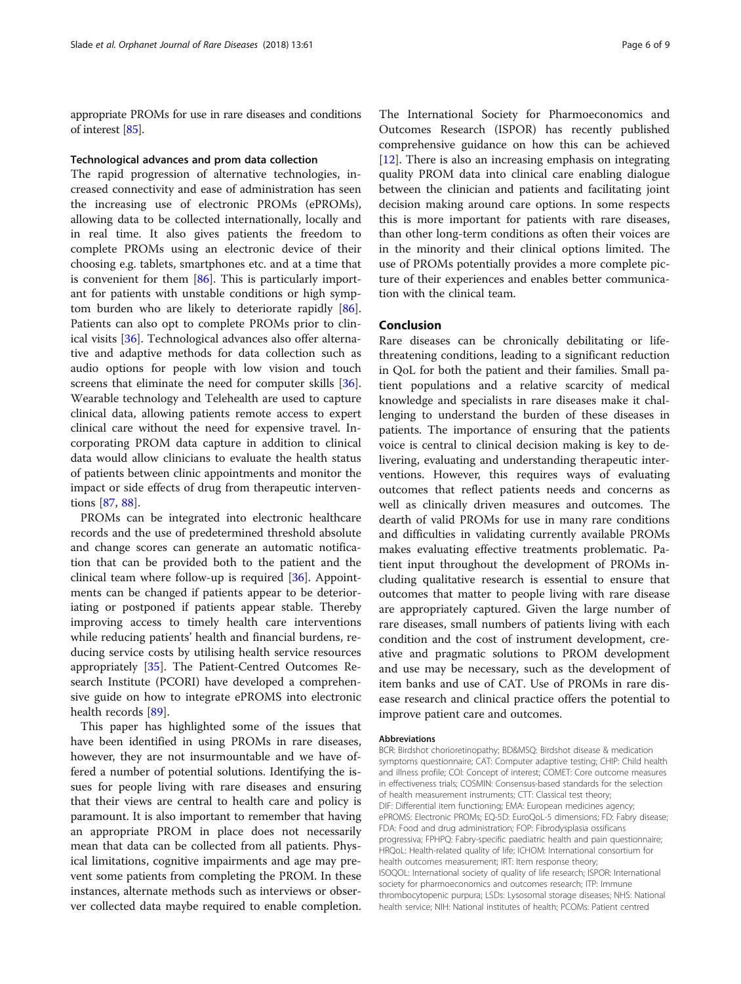appropriate PROMs for use in rare diseases and conditions of interest [[85](#page-8-0)].

# Technological advances and prom data collection

The rapid progression of alternative technologies, increased connectivity and ease of administration has seen the increasing use of electronic PROMs (ePROMs), allowing data to be collected internationally, locally and in real time. It also gives patients the freedom to complete PROMs using an electronic device of their choosing e.g. tablets, smartphones etc. and at a time that is convenient for them [[86](#page-8-0)]. This is particularly important for patients with unstable conditions or high symptom burden who are likely to deteriorate rapidly [\[86](#page-8-0)]. Patients can also opt to complete PROMs prior to clinical visits [\[36\]](#page-7-0). Technological advances also offer alternative and adaptive methods for data collection such as audio options for people with low vision and touch screens that eliminate the need for computer skills [\[36](#page-7-0)]. Wearable technology and Telehealth are used to capture clinical data, allowing patients remote access to expert clinical care without the need for expensive travel. Incorporating PROM data capture in addition to clinical data would allow clinicians to evaluate the health status of patients between clinic appointments and monitor the impact or side effects of drug from therapeutic interventions [[87,](#page-8-0) [88\]](#page-8-0).

PROMs can be integrated into electronic healthcare records and the use of predetermined threshold absolute and change scores can generate an automatic notification that can be provided both to the patient and the clinical team where follow-up is required [[36\]](#page-7-0). Appointments can be changed if patients appear to be deterioriating or postponed if patients appear stable. Thereby improving access to timely health care interventions while reducing patients' health and financial burdens, reducing service costs by utilising health service resources appropriately [[35\]](#page-7-0). The Patient-Centred Outcomes Research Institute (PCORI) have developed a comprehensive guide on how to integrate ePROMS into electronic health records [\[89](#page-8-0)].

This paper has highlighted some of the issues that have been identified in using PROMs in rare diseases, however, they are not insurmountable and we have offered a number of potential solutions. Identifying the issues for people living with rare diseases and ensuring that their views are central to health care and policy is paramount. It is also important to remember that having an appropriate PROM in place does not necessarily mean that data can be collected from all patients. Physical limitations, cognitive impairments and age may prevent some patients from completing the PROM. In these instances, alternate methods such as interviews or observer collected data maybe required to enable completion.

The International Society for Pharmoeconomics and Outcomes Research (ISPOR) has recently published comprehensive guidance on how this can be achieved [[12\]](#page-6-0). There is also an increasing emphasis on integrating quality PROM data into clinical care enabling dialogue between the clinician and patients and facilitating joint decision making around care options. In some respects this is more important for patients with rare diseases, than other long-term conditions as often their voices are in the minority and their clinical options limited. The use of PROMs potentially provides a more complete picture of their experiences and enables better communication with the clinical team.

# Conclusion

Rare diseases can be chronically debilitating or lifethreatening conditions, leading to a significant reduction in QoL for both the patient and their families. Small patient populations and a relative scarcity of medical knowledge and specialists in rare diseases make it challenging to understand the burden of these diseases in patients. The importance of ensuring that the patients voice is central to clinical decision making is key to delivering, evaluating and understanding therapeutic interventions. However, this requires ways of evaluating outcomes that reflect patients needs and concerns as well as clinically driven measures and outcomes. The dearth of valid PROMs for use in many rare conditions and difficulties in validating currently available PROMs makes evaluating effective treatments problematic. Patient input throughout the development of PROMs including qualitative research is essential to ensure that outcomes that matter to people living with rare disease are appropriately captured. Given the large number of rare diseases, small numbers of patients living with each condition and the cost of instrument development, creative and pragmatic solutions to PROM development and use may be necessary, such as the development of item banks and use of CAT. Use of PROMs in rare disease research and clinical practice offers the potential to improve patient care and outcomes.

#### Abbreviations

BCR: Birdshot chorioretinopathy; BD&MSQ: Birdshot disease & medication symptoms questionnaire; CAT: Computer adaptive testing; CHIP: Child health and illness profile; COI: Concept of interest; COMET: Core outcome measures in effectiveness trials; COSMIN: Consensus-based standards for the selection of health measurement instruments; CTT: Classical test theory; DIF: Differential item functioning; EMA: European medicines agency; ePROMS: Electronic PROMs; EQ-5D: EuroQoL-5 dimensions; FD: Fabry disease; FDA: Food and drug administration; FOP: Fibrodysplasia ossificans progressiva; FPHPQ: Fabry-specific paediatric health and pain questionnaire; HRQoL: Health-related quality of life; ICHOM: International consortium for health outcomes measurement; IRT: Item response theory; ISOQOL: International society of quality of life research; ISPOR: International society for pharmoeconomics and outcomes research; ITP: Immune thrombocytopenic purpura; LSDs: Lysosomal storage diseases; NHS: National health service; NIH: National institutes of health; PCOMs: Patient centred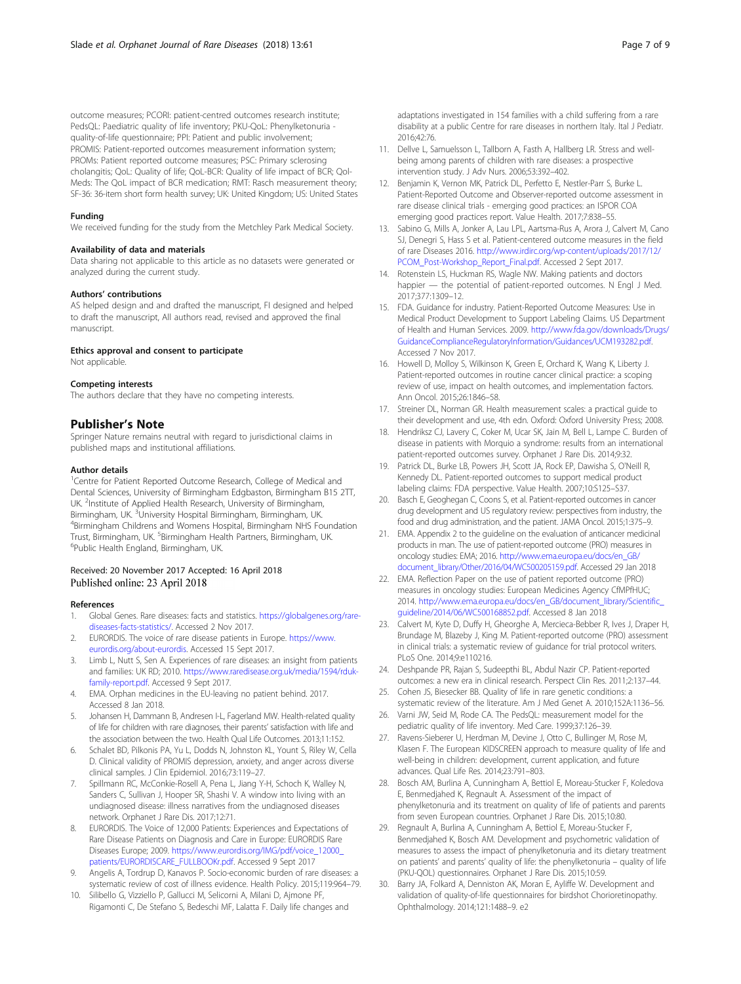<span id="page-6-0"></span>outcome measures; PCORI: patient-centred outcomes research institute; PedsQL: Paediatric quality of life inventory; PKU-QoL: Phenylketonuria quality-of-life questionnaire; PPI: Patient and public involvement; PROMIS: Patient-reported outcomes measurement information system; PROMs: Patient reported outcome measures; PSC: Primary sclerosing cholangitis; QoL: Quality of life; QoL-BCR: Quality of life impact of BCR; Qol-Meds: The QoL impact of BCR medication; RMT: Rasch measurement theory; SF-36: 36-item short form health survey; UK: United Kingdom; US: United States

#### Funding

We received funding for the study from the Metchley Park Medical Society.

# Availability of data and materials

Data sharing not applicable to this article as no datasets were generated or analyzed during the current study.

#### Authors' contributions

AS helped design and and drafted the manuscript, FI designed and helped to draft the manuscript, All authors read, revised and approved the final manuscript.

## Ethics approval and consent to participate

Not applicable.

### Competing interests

The authors declare that they have no competing interests.

### Publisher's Note

Springer Nature remains neutral with regard to jurisdictional claims in published maps and institutional affiliations.

#### Author details

<sup>1</sup> Centre for Patient Reported Outcome Research, College of Medical and Dental Sciences, University of Birmingham Edgbaston, Birmingham B15 2TT, UK. <sup>2</sup>Institute of Applied Health Research, University of Birmingham, Birmingham, UK. <sup>3</sup>University Hospital Birmingham, Birmingham, UK.<br><sup>4</sup>Birmingham Childrops and Womons Hospital Birmingham NHS Eq <sup>4</sup>Birmingham Childrens and Womens Hospital, Birmingham NHS Foundation Trust, Birmingham, UK. <sup>5</sup>Birmingham Health Partners, Birmingham, UK.<br><sup>6</sup>Public Hoalth England, Birmingham, UK. <sup>6</sup>Public Health England, Birmingham, UK.

# Received: 20 November 2017 Accepted: 16 April 2018 Published online: 23 April 2018

# References

- Global Genes. Rare diseases: facts and statistics. [https://globalgenes.org/rare](https://globalgenes.org/rare-diseases-facts-statistics/)[diseases-facts-statistics/.](https://globalgenes.org/rare-diseases-facts-statistics/) Accessed 2 Nov 2017.
- 2. EURORDIS. The voice of rare disease patients in Europe. [https://www.](https://www.eurordis.org/about-eurordis) [eurordis.org/about-eurordis.](https://www.eurordis.org/about-eurordis) Accessed 15 Sept 2017.
- 3. Limb L, Nutt S, Sen A. Experiences of rare diseases: an insight from patients and families: UK RD; 2010. [https://www.raredisease.org.uk/media/1594/rduk](https://www.raredisease.org.uk/media/1594/rduk-family-report.pdf)[family-report.pdf.](https://www.raredisease.org.uk/media/1594/rduk-family-report.pdf) Accessed 9 Sept 2017.
- 4. EMA. Orphan medicines in the EU-leaving no patient behind. 2017. Accessed 8 Jan 2018.
- 5. Johansen H, Dammann B, Andresen I-L, Fagerland MW. Health-related quality of life for children with rare diagnoses, their parents' satisfaction with life and the association between the two. Health Qual Life Outcomes. 2013;11:152.
- 6. Schalet BD, Pilkonis PA, Yu L, Dodds N, Johnston KL, Yount S, Riley W, Cella D. Clinical validity of PROMIS depression, anxiety, and anger across diverse clinical samples. J Clin Epidemiol. 2016;73:119–27.
- 7. Spillmann RC, McConkie-Rosell A, Pena L, Jiang Y-H, Schoch K, Walley N, Sanders C, Sullivan J, Hooper SR, Shashi V. A window into living with an undiagnosed disease: illness narratives from the undiagnosed diseases network. Orphanet J Rare Dis. 2017;12:71.
- 8. EURORDIS. The Voice of 12,000 Patients: Experiences and Expectations of Rare Disease Patients on Diagnosis and Care in Europe: EURORDIS Rare Diseases Europe; 2009. [https://www.eurordis.org/IMG/pdf/voice\\_12000\\_](https://www.eurordis.org/IMG/pdf/voice_12000_patients/EURORDISCARE_FULLBOOKr.pdf) [patients/EURORDISCARE\\_FULLBOOKr.pdf.](https://www.eurordis.org/IMG/pdf/voice_12000_patients/EURORDISCARE_FULLBOOKr.pdf) Accessed 9 Sept 2017
- Angelis A, Tordrup D, Kanavos P. Socio-economic burden of rare diseases: a systematic review of cost of illness evidence. Health Policy. 2015;119:964–79.
- 10. Silibello G, Vizziello P, Gallucci M, Selicorni A, Milani D, Ajmone PF, Rigamonti C, De Stefano S, Bedeschi MF, Lalatta F. Daily life changes and

adaptations investigated in 154 families with a child suffering from a rare disability at a public Centre for rare diseases in northern Italy. Ital J Pediatr. 2016;42:76.

- 11. Dellve L, Samuelsson L, Tallborn A, Fasth A, Hallberg LR. Stress and wellbeing among parents of children with rare diseases: a prospective intervention study. J Adv Nurs. 2006;53:392–402.
- 12. Benjamin K, Vernon MK, Patrick DL, Perfetto E, Nestler-Parr S, Burke L. Patient-Reported Outcome and Observer-reported outcome assessment in rare disease clinical trials - emerging good practices: an ISPOR COA emerging good practices report. Value Health. 2017;7:838–55.
- 13. Sabino G, Mills A, Jonker A, Lau LPL, Aartsma-Rus A, Arora J, Calvert M, Cano SJ, Denegri S, Hass S et al. Patient-centered outcome measures in the field of rare Diseases 2016. [http://www.irdirc.org/wp-content/uploads/2017/12/](http://www.irdirc.org/wp-content/uploads/2017/12/PCOM_Post-Workshop_Report_Final.pdf) [PCOM\\_Post-Workshop\\_Report\\_Final.pdf.](http://www.irdirc.org/wp-content/uploads/2017/12/PCOM_Post-Workshop_Report_Final.pdf) Accessed 2 Sept 2017.
- 14. Rotenstein LS, Huckman RS, Wagle NW. Making patients and doctors happier — the potential of patient-reported outcomes. N Engl J Med. 2017;377:1309–12.
- 15. FDA. Guidance for industry. Patient-Reported Outcome Measures: Use in Medical Product Development to Support Labeling Claims. US Department of Health and Human Services. 2009. [http://www.fda.gov/downloads/Drugs/](http://www.fda.gov/downloads/Drugs/GuidanceComplianceRegulatoryInformation/Guidances/UCM193282.pdf) [GuidanceComplianceRegulatoryInformation/Guidances/UCM193282.pdf.](http://www.fda.gov/downloads/Drugs/GuidanceComplianceRegulatoryInformation/Guidances/UCM193282.pdf) Accessed 7 Nov 2017.
- 16. Howell D, Molloy S, Wilkinson K, Green E, Orchard K, Wang K, Liberty J. Patient-reported outcomes in routine cancer clinical practice: a scoping review of use, impact on health outcomes, and implementation factors. Ann Oncol. 2015;26:1846–58.
- 17. Streiner DL, Norman GR. Health measurement scales: a practical guide to their development and use, 4th edn. Oxford: Oxford University Press; 2008.
- 18. Hendriksz CJ, Lavery C, Coker M, Ucar SK, Jain M, Bell L, Lampe C. Burden of disease in patients with Morquio a syndrome: results from an international patient-reported outcomes survey. Orphanet J Rare Dis. 2014;9:32.
- 19. Patrick DL, Burke LB, Powers JH, Scott JA, Rock EP, Dawisha S, O'Neill R, Kennedy DL. Patient-reported outcomes to support medical product labeling claims: FDA perspective. Value Health. 2007;10:S125–S37.
- 20. Basch E, Geoghegan C, Coons S, et al. Patient-reported outcomes in cancer drug development and US regulatory review: perspectives from industry, the food and drug administration, and the patient. JAMA Oncol. 2015;1:375–9.
- 21. EMA. Appendix 2 to the guideline on the evaluation of anticancer medicinal products in man. The use of patient-reported outcome (PRO) measures in oncology studies: EMA; 2016. [http://www.ema.europa.eu/docs/en\\_GB/](http://www.ema.europa.eu/docs/en_GB/document_library/Other/2016/04/WC500205159.pdf) [document\\_library/Other/2016/04/WC500205159.pdf.](http://www.ema.europa.eu/docs/en_GB/document_library/Other/2016/04/WC500205159.pdf) Accessed 29 Jan 2018
- 22. EMA. Reflection Paper on the use of patient reported outcome (PRO) measures in oncology studies: European Medicines Agency CfMPfHUC; 2014. [http://www.ema.europa.eu/docs/en\\_GB/document\\_library/Scientific\\_](http://www.ema.europa.eu/docs/en_GB/document_library/Scientific_guideline/2014/06/WC500168852.pdf) [guideline/2014/06/WC500168852.pdf](http://www.ema.europa.eu/docs/en_GB/document_library/Scientific_guideline/2014/06/WC500168852.pdf). Accessed 8 Jan 2018
- 23. Calvert M, Kyte D, Duffy H, Gheorghe A, Mercieca-Bebber R, Ives J, Draper H, Brundage M, Blazeby J, King M. Patient-reported outcome (PRO) assessment in clinical trials: a systematic review of guidance for trial protocol writers. PLoS One. 2014;9:e110216.
- 24. Deshpande PR, Rajan S, Sudeepthi BL, Abdul Nazir CP. Patient-reported outcomes: a new era in clinical research. Perspect Clin Res. 2011;2:137–44.
- 25. Cohen JS, Biesecker BB. Quality of life in rare genetic conditions: a systematic review of the literature. Am J Med Genet A. 2010;152A:1136–56.
- 26. Varni JW, Seid M, Rode CA. The PedsQL: measurement model for the pediatric quality of life inventory. Med Care. 1999;37:126–39.
- 27. Ravens-Sieberer U, Herdman M, Devine J, Otto C, Bullinger M, Rose M, Klasen F. The European KIDSCREEN approach to measure quality of life and well-being in children: development, current application, and future advances. Qual Life Res. 2014;23:791–803.
- 28. Bosch AM, Burlina A, Cunningham A, Bettiol E, Moreau-Stucker F, Koledova E, Benmedjahed K, Regnault A. Assessment of the impact of phenylketonuria and its treatment on quality of life of patients and parents from seven European countries. Orphanet J Rare Dis. 2015;10:80.
- 29. Regnault A, Burlina A, Cunningham A, Bettiol E, Moreau-Stucker F, Benmedjahed K, Bosch AM. Development and psychometric validation of measures to assess the impact of phenylketonuria and its dietary treatment on patients' and parents' quality of life: the phenylketonuria – quality of life (PKU-QOL) questionnaires. Orphanet J Rare Dis. 2015;10:59.
- 30. Barry JA, Folkard A, Denniston AK, Moran E, Ayliffe W. Development and validation of quality-of-life questionnaires for birdshot Chorioretinopathy. Ophthalmology. 2014;121:1488–9. e2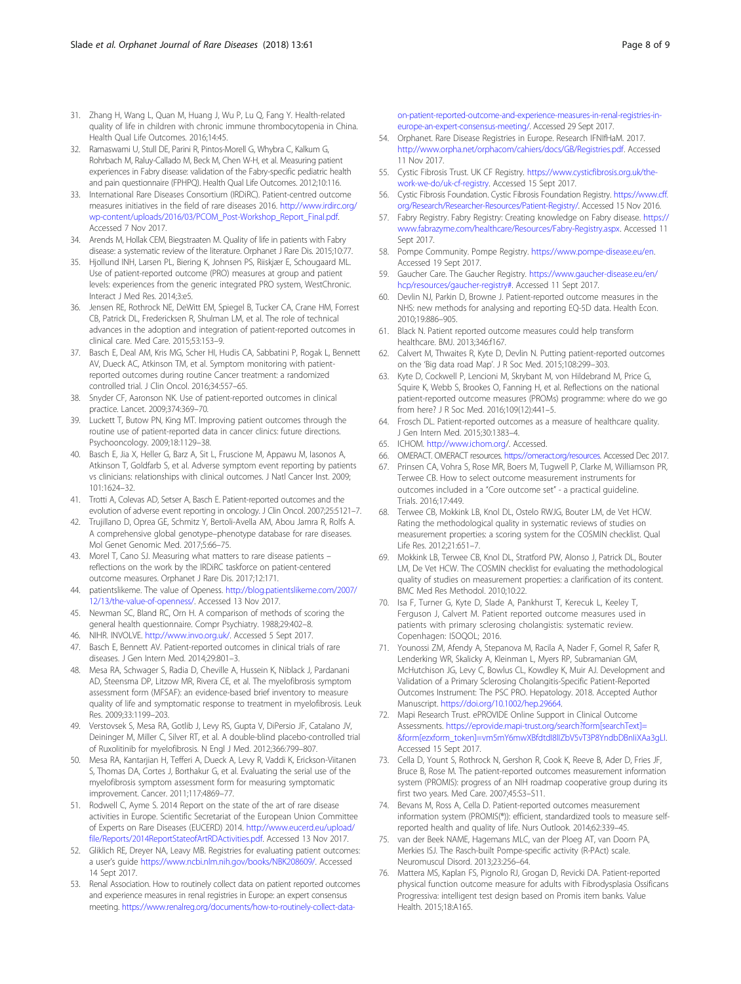- <span id="page-7-0"></span>31. Zhang H, Wang L, Quan M, Huang J, Wu P, Lu Q, Fang Y. Health-related quality of life in children with chronic immune thrombocytopenia in China. Health Qual Life Outcomes. 2016;14:45.
- 32. Ramaswami U, Stull DE, Parini R, Pintos-Morell G, Whybra C, Kalkum G, Rohrbach M, Raluy-Callado M, Beck M, Chen W-H, et al. Measuring patient experiences in Fabry disease: validation of the Fabry-specific pediatric health and pain questionnaire (FPHPQ). Health Qual Life Outcomes. 2012;10:116.
- 33. International Rare Diseases Consortium (IRDiRC). Patient-centred outcome measures initiatives in the field of rare diseases 2016. [http://www.irdirc.org/](http://www.irdirc.org/wp-content/uploads/2016/03/PCOM_Post-Workshop_Report_Final.pdf) [wp-content/uploads/2016/03/PCOM\\_Post-Workshop\\_Report\\_Final.pdf.](http://www.irdirc.org/wp-content/uploads/2016/03/PCOM_Post-Workshop_Report_Final.pdf) Accessed 7 Nov 2017.
- 34. Arends M, Hollak CEM, Biegstraaten M. Quality of life in patients with Fabry disease: a systematic review of the literature. Orphanet J Rare Dis. 2015;10:77.
- 35. Hjollund INH, Larsen PL, Biering K, Johnsen PS, Riiskjær E, Schougaard ML. Use of patient-reported outcome (PRO) measures at group and patient levels: experiences from the generic integrated PRO system, WestChronic. Interact J Med Res. 2014;3:e5.
- 36. Jensen RE, Rothrock NE, DeWitt EM, Spiegel B, Tucker CA, Crane HM, Forrest CB, Patrick DL, Fredericksen R, Shulman LM, et al. The role of technical advances in the adoption and integration of patient-reported outcomes in clinical care. Med Care. 2015;53:153–9.
- 37. Basch E, Deal AM, Kris MG, Scher HI, Hudis CA, Sabbatini P, Rogak L, Bennett AV, Dueck AC, Atkinson TM, et al. Symptom monitoring with patientreported outcomes during routine Cancer treatment: a randomized controlled trial. J Clin Oncol. 2016;34:557–65.
- 38. Snyder CF, Aaronson NK. Use of patient-reported outcomes in clinical practice. Lancet. 2009;374:369–70.
- 39. Luckett T, Butow PN, King MT. Improving patient outcomes through the routine use of patient-reported data in cancer clinics: future directions. Psychooncology. 2009;18:1129–38.
- 40. Basch E, Jia X, Heller G, Barz A, Sit L, Fruscione M, Appawu M, Iasonos A, Atkinson T, Goldfarb S, et al. Adverse symptom event reporting by patients vs clinicians: relationships with clinical outcomes. J Natl Cancer Inst. 2009; 101:1624–32.
- 41. Trotti A, Colevas AD, Setser A, Basch E. Patient-reported outcomes and the evolution of adverse event reporting in oncology. J Clin Oncol. 2007;25:5121–7.
- 42. Trujillano D, Oprea GE, Schmitz Y, Bertoli-Avella AM, Abou Jamra R, Rolfs A. A comprehensive global genotype–phenotype database for rare diseases. Mol Genet Genomic Med. 2017;5:66–75.
- 43. Morel T, Cano SJ. Measuring what matters to rare disease patients reflections on the work by the IRDiRC taskforce on patient-centered outcome measures. Orphanet J Rare Dis. 2017;12:171.
- 44. patientslikeme. The value of Openess. [http://blog.patientslikeme.com/2007/](http://blog.patientslikeme.com/2007/12/13/the-value-of-openness/) [12/13/the-value-of-openness/](http://blog.patientslikeme.com/2007/12/13/the-value-of-openness/). Accessed 13 Nov 2017.
- 45. Newman SC, Bland RC, Orn H. A comparison of methods of scoring the general health questionnaire. Compr Psychiatry. 1988;29:402–8.
- 46. NIHR. INVOLVE. [http://www.invo.org.uk/.](http://www.invo.org.uk/) Accessed 5 Sept 2017.
- 47. Basch E, Bennett AV. Patient-reported outcomes in clinical trials of rare diseases. J Gen Intern Med. 2014;29:801–3.
- 48. Mesa RA, Schwager S, Radia D, Cheville A, Hussein K, Niblack J, Pardanani AD, Steensma DP, Litzow MR, Rivera CE, et al. The myelofibrosis symptom assessment form (MFSAF): an evidence-based brief inventory to measure quality of life and symptomatic response to treatment in myelofibrosis. Leuk Res. 2009;33:1199–203.
- 49. Verstovsek S, Mesa RA, Gotlib J, Levy RS, Gupta V, DiPersio JF, Catalano JV, Deininger M, Miller C, Silver RT, et al. A double-blind placebo-controlled trial of Ruxolitinib for myelofibrosis. N Engl J Med. 2012;366:799–807.
- 50. Mesa RA, Kantarjian H, Tefferi A, Dueck A, Levy R, Vaddi K, Erickson-Viitanen S, Thomas DA, Cortes J, Borthakur G, et al. Evaluating the serial use of the myelofibrosis symptom assessment form for measuring symptomatic improvement. Cancer. 2011;117:4869–77.
- 51. Rodwell C, Ayme S. 2014 Report on the state of the art of rare disease activities in Europe. Scientific Secretariat of the European Union Committee of Experts on Rare Diseases (EUCERD) 2014. [http://www.eucerd.eu/upload/](http://www.eucerd.eu/upload/file/Reports/2014ReportStateofArtRDActivities.pdf) [file/Reports/2014ReportStateofArtRDActivities.pdf](http://www.eucerd.eu/upload/file/Reports/2014ReportStateofArtRDActivities.pdf). Accessed 13 Nov 2017.
- 52. Gliklich RE, Dreyer NA, Leavy MB. Registries for evaluating patient outcomes: a user's guide <https://www.ncbi.nlm.nih.gov/books/NBK208609/>. Accessed 14 Sept 2017.
- 53. Renal Association. How to routinely collect data on patient reported outcomes and experience measures in renal registries in Europe: an expert consensus meeting. [https://www.renalreg.org/documents/how-to-routinely-collect-data-](https://www.renalreg.org/documents/how-to-routinely-collect-data-on-patient-reported-outcome-and-experience-measures-in-renal-registries-in-europe-an-expert-consensus-meeting)

[on-patient-reported-outcome-and-experience-measures-in-renal-registries-in](https://www.renalreg.org/documents/how-to-routinely-collect-data-on-patient-reported-outcome-and-experience-measures-in-renal-registries-in-europe-an-expert-consensus-meeting)[europe-an-expert-consensus-meeting/.](https://www.renalreg.org/documents/how-to-routinely-collect-data-on-patient-reported-outcome-and-experience-measures-in-renal-registries-in-europe-an-expert-consensus-meeting) Accessed 29 Sept 2017.

- 54. Orphanet. Rare Disease Registries in Europe. Research IFNIfHaM. 2017. [http://www.orpha.net/orphacom/cahiers/docs/GB/Registries.pdf.](http://www.orpha.net/orphacom/cahiers/docs/GB/Registries.pdf) Accessed 11 Nov 2017.
- 55. Cystic Fibrosis Trust. UK CF Registry. [https://www.cysticfibrosis.org.uk/the](https://www.cysticfibrosis.org.uk/the-work-we-do/uk-cf-registry)[work-we-do/uk-cf-registry.](https://www.cysticfibrosis.org.uk/the-work-we-do/uk-cf-registry) Accessed 15 Sept 2017.
- 56. Cystic Fibrosis Foundation. Cystic Fibrosis Foundation Registry. [https://www.cff.](https://www.cff.org/Research/Researcher-Resources/Patient-Registry/) [org/Research/Researcher-Resources/Patient-Registry/.](https://www.cff.org/Research/Researcher-Resources/Patient-Registry/) Accessed 15 Nov 2016.
- 57. Fabry Registry. Fabry Registry: Creating knowledge on Fabry disease. [https://](https://www.fabrazyme.com/healthcare/Resources/Fabry-Registry.aspx) [www.fabrazyme.com/healthcare/Resources/Fabry-Registry.aspx](https://www.fabrazyme.com/healthcare/Resources/Fabry-Registry.aspx). Accessed 11 Sept 2017.
- 58. Pompe Community. Pompe Registry. [https://www.pompe-disease.eu/en.](https://www.pompe-disease.eu/en) Accessed 19 Sept 2017.
- 59. Gaucher Care. The Gaucher Registry. [https://www.gaucher-disease.eu/en/](https://www.gaucher-disease.eu/en/hcp/resources/gaucher-registry#) [hcp/resources/gaucher-registry#](https://www.gaucher-disease.eu/en/hcp/resources/gaucher-registry#). Accessed 11 Sept 2017.
- 60. Devlin NJ, Parkin D, Browne J. Patient-reported outcome measures in the NHS: new methods for analysing and reporting EQ-5D data. Health Econ. 2010;19:886–905.
- 61. Black N. Patient reported outcome measures could help transform healthcare. BMJ. 2013;346:f167.
- 62. Calvert M, Thwaites R, Kyte D, Devlin N. Putting patient-reported outcomes on the 'Big data road Map'. J R Soc Med. 2015;108:299–303.
- 63. Kyte D, Cockwell P, Lencioni M, Skrybant M, von Hildebrand M, Price G, Squire K, Webb S, Brookes O, Fanning H, et al. Reflections on the national patient-reported outcome measures (PROMs) programme: where do we go from here? J R Soc Med. 2016;109(12):441–5.
- 64. Frosch DL. Patient-reported outcomes as a measure of healthcare quality. J Gen Intern Med. 2015;30:1383–4.
- 65. ICHOM. [http://www.ichom.org/](http://www.ichom.org). Accessed.
- 66. OMERACT. OMERACT resources. <https://omeract.org/resources>. Accessed Dec 2017.
- 67. Prinsen CA, Vohra S, Rose MR, Boers M, Tugwell P, Clarke M, Williamson PR, Terwee CB. How to select outcome measurement instruments for outcomes included in a "Core outcome set" - a practical guideline. Trials. 2016;17:449.
- 68. Terwee CB, Mokkink LB, Knol DL, Ostelo RWJG, Bouter LM, de Vet HCW. Rating the methodological quality in systematic reviews of studies on measurement properties: a scoring system for the COSMIN checklist. Qual Life Res. 2012;21:651–7.
- 69. Mokkink LB, Terwee CB, Knol DL, Stratford PW, Alonso J, Patrick DL, Bouter LM, De Vet HCW. The COSMIN checklist for evaluating the methodological quality of studies on measurement properties: a clarification of its content. BMC Med Res Methodol. 2010;10:22.
- 70. Isa F, Turner G, Kyte D, Slade A, Pankhurst T, Kerecuk L, Keeley T, Ferguson J, Calvert M. Patient reported outcome measures used in patients with primary sclerosing cholangistis: systematic review. Copenhagen: ISOQOL; 2016.
- 71. Younossi ZM, Afendy A, Stepanova M, Racila A, Nader F, Gomel R, Safer R, Lenderking WR, Skalicky A, Kleinman L, Myers RP, Subramanian GM, McHutchison JG, Levy C, Bowlus CL, Kowdley K, Muir AJ. Development and Validation of a Primary Sclerosing Cholangitis-Specific Patient-Reported Outcomes Instrument: The PSC PRO. Hepatology. 2018. Accepted Author Manuscript. <https://doi.org/10.1002/hep.29664>.
- 72. Mapi Research Trust. ePROVIDE Online Support in Clinical Outcome Assessments. [https://eprovide.mapi-trust.org/search?form\[searchText\]=](https://eprovide.mapi-trust.org/search?form%5bsearchText%5d=&form%5bezxform_token%5d=vm5mY6mwXBfdtdI8lIZbV5vT3P8YndbDBnIiXAa3gLI) [&form\[ezxform\\_token\]=vm5mY6mwXBfdtdI8lIZbV5vT3P8YndbDBnIiXAa3gLI](https://eprovide.mapi-trust.org/search?form%5bsearchText%5d=&form%5bezxform_token%5d=vm5mY6mwXBfdtdI8lIZbV5vT3P8YndbDBnIiXAa3gLI). Accessed 15 Sept 2017.
- 73. Cella D, Yount S, Rothrock N, Gershon R, Cook K, Reeve B, Ader D, Fries JF, Bruce B, Rose M. The patient-reported outcomes measurement information system (PROMIS): progress of an NIH roadmap cooperative group during its first two years. Med Care. 2007;45:S3–S11.
- 74. Bevans M, Ross A, Cella D. Patient-reported outcomes measurement information system (PROMIS(®)): efficient, standardized tools to measure selfreported health and quality of life. Nurs Outlook. 2014;62:339–45.
- 75. van der Beek NAME, Hagemans MLC, van der Ploeg AT, van Doorn PA, Merkies ISJ. The Rasch-built Pompe-specific activity (R-PAct) scale. Neuromuscul Disord. 2013;23:256–64.
- 76. Mattera MS, Kaplan FS, Pignolo RJ, Grogan D, Revicki DA. Patient-reported physical function outcome measure for adults with Fibrodysplasia Ossificans Progressiva: intelligent test design based on Promis item banks. Value Health. 2015;18:A165.